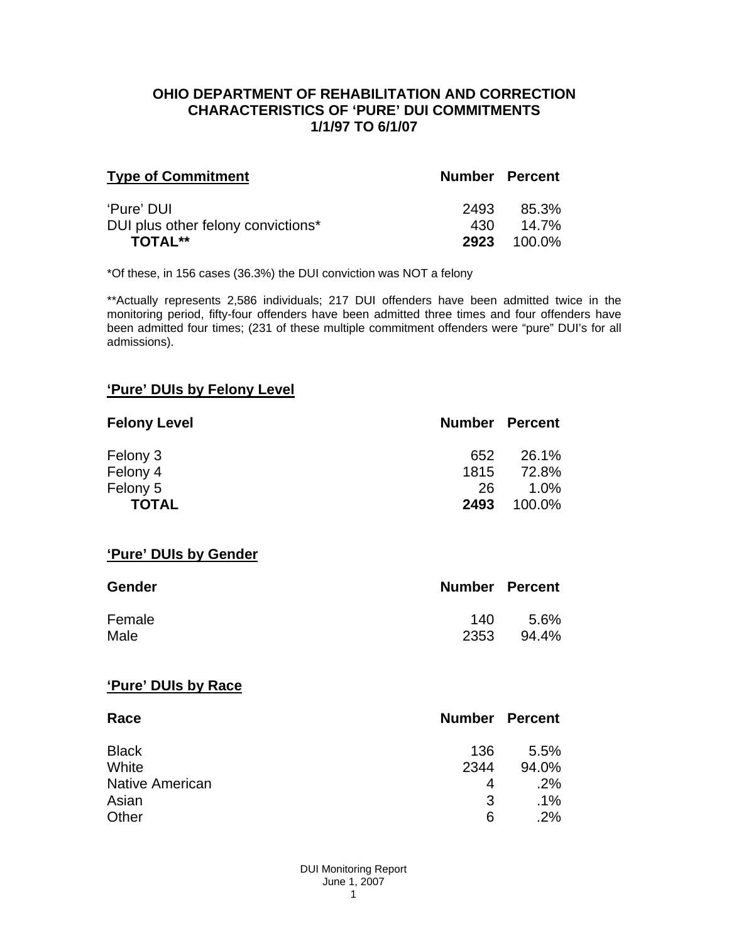## **OHIO DEPARTMENT OF REHABILITATION AND CORRECTION CHARACTERISTICS OF 'PURE' DUI COMMITMENTS 1/1/97 TO 6/1/07**

| <b>Type of Commitment</b>          | <b>Number Percent</b> |                    |
|------------------------------------|-----------------------|--------------------|
| 'Pure' DUI                         | 2493                  | 85.3%              |
| DUI plus other felony convictions* | 430.                  | 14.7%              |
| <b>TOTAL**</b>                     |                       | <b>2923</b> 100.0% |

\*Of these, in 156 cases (36.3%) the DUI conviction was NOT a felony

\*\*Actually represents 2,586 individuals; 217 DUI offenders have been admitted twice in the monitoring period, fifty-four offenders have been admitted three times and four offenders have been admitted four times; (231 of these multiple commitment offenders were "pure" DUI's for all admissions).

# **'Pure' DUIs by Felony Level**

| <b>Felony Level</b> | <b>Number Percent</b> |         |
|---------------------|-----------------------|---------|
| Felony 3            | 652                   | 26.1%   |
| Felony 4            | 1815                  | 72.8%   |
| Felony 5            | 26                    | $1.0\%$ |
| <b>TOTAL</b>        | 2493                  | 100.0%  |

#### **'Pure' DUIs by Gender**

| <b>Gender</b> | <b>Number Percent</b> |       |
|---------------|-----------------------|-------|
| Female        | 140                   | 5.6%  |
| Male          | 2353                  | 94.4% |

#### **'Pure' DUIs by Race**

| Race                   | <b>Number Percent</b> |        |
|------------------------|-----------------------|--------|
| <b>Black</b>           | 136                   | 5.5%   |
| White                  | 2344                  | 94.0%  |
| <b>Native American</b> | 4                     | .2%    |
| Asian                  | 3                     | $.1\%$ |
| Other                  | 6                     | .2%    |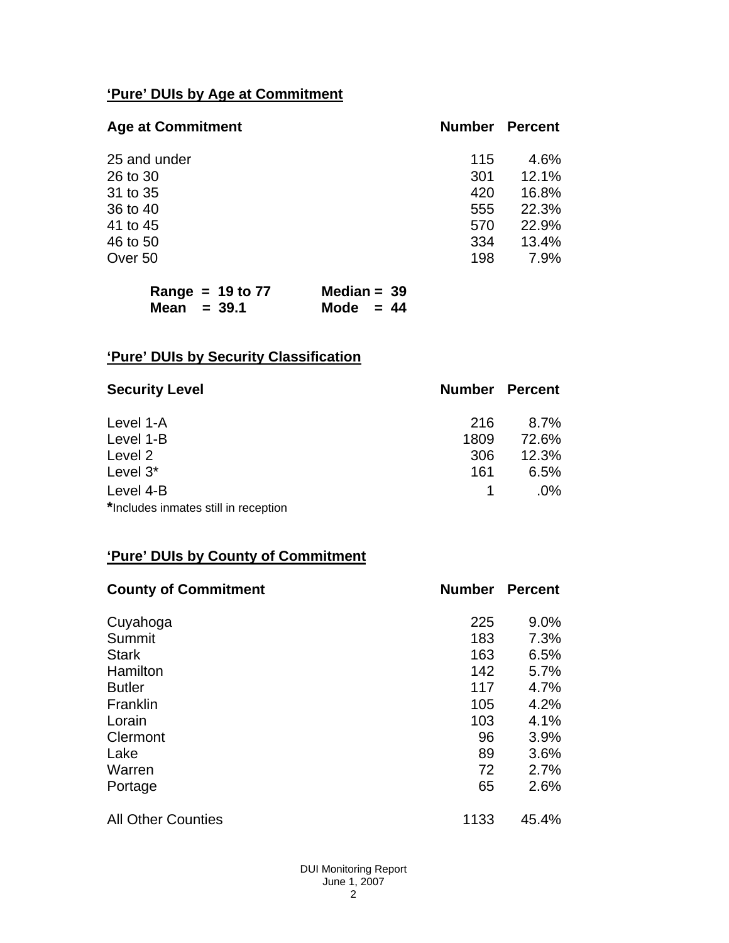# **'Pure' DUIs by Age at Commitment**

| <b>Age at Commitment</b> | <b>Number</b> | <b>Percent</b> |
|--------------------------|---------------|----------------|
| 25 and under             | 115           | 4.6%           |
| 26 to 30                 | 301           | 12.1%          |
| 31 to 35                 | 420           | 16.8%          |
| 36 to 40                 | 555           | 22.3%          |
| 41 to 45                 | 570           | 22.9%          |
| 46 to 50                 | 334           | 13.4%          |
| Over 50                  | 198           | 7.9%           |

| Range = $19$ to $77$ | Median = $39$ |  |
|----------------------|---------------|--|
| Mean $=$ 39.1        | Mode $= 44$   |  |

# **'Pure' DUIs by Security Classification**

| <b>Security Level</b>                | <b>Number Percent</b> |        |
|--------------------------------------|-----------------------|--------|
| Level 1-A                            | 216                   | 8.7%   |
| Level 1-B                            | 1809                  | 72.6%  |
| Level 2                              | 306                   | 12.3%  |
| Level 3*                             | 161                   | 6.5%   |
| Level 4-B                            |                       | $.0\%$ |
| *Includes inmates still in reception |                       |        |

# **'Pure' DUIs by County of Commitment**

| <b>County of Commitment</b> | <b>Number</b> | <b>Percent</b> |
|-----------------------------|---------------|----------------|
| Cuyahoga                    | 225           | 9.0%           |
| Summit                      | 183           | 7.3%           |
| <b>Stark</b>                | 163           | 6.5%           |
| Hamilton                    | 142           | 5.7%           |
| <b>Butler</b>               | 117           | 4.7%           |
| Franklin                    | 105           | 4.2%           |
| Lorain                      | 103           | 4.1%           |
| Clermont                    | 96            | 3.9%           |
| Lake                        | 89            | 3.6%           |
| Warren                      | 72            | 2.7%           |
| Portage                     | 65            | 2.6%           |
| <b>All Other Counties</b>   | 1133          | 45.4%          |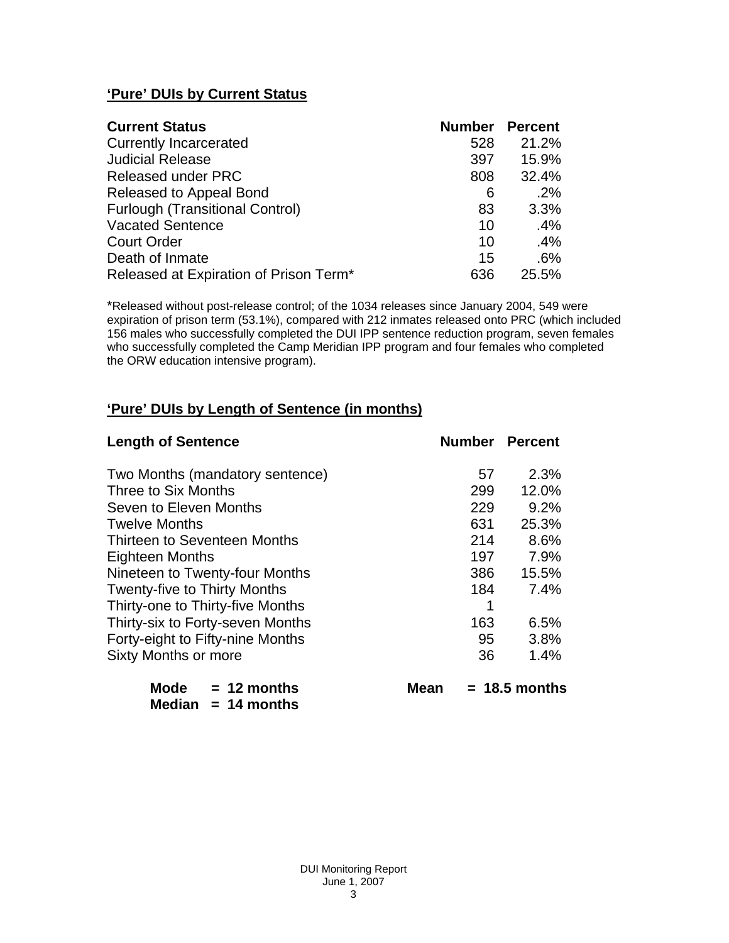# **'Pure' DUIs by Current Status**

| <b>Current Status</b>                  | <b>Number</b> | <b>Percent</b> |
|----------------------------------------|---------------|----------------|
| <b>Currently Incarcerated</b>          | 528           | 21.2%          |
| <b>Judicial Release</b>                | 397           | 15.9%          |
| <b>Released under PRC</b>              | 808           | 32.4%          |
| Released to Appeal Bond                | 6             | .2%            |
| <b>Furlough (Transitional Control)</b> | 83            | 3.3%           |
| <b>Vacated Sentence</b>                | 10            | .4%            |
| <b>Court Order</b>                     | 10            | .4%            |
| Death of Inmate                        | 15            | .6%            |
| Released at Expiration of Prison Term* | 636           | 25.5%          |

\*Released without post-release control; of the 1034 releases since January 2004, 549 were expiration of prison term (53.1%), compared with 212 inmates released onto PRC (which included 156 males who successfully completed the DUI IPP sentence reduction program, seven females who successfully completed the Camp Meridian IPP program and four females who completed the ORW education intensive program).

# **'Pure' DUIs by Length of Sentence (in months)**

| <b>Length of Sentence</b>           | <b>Number Percent</b> |                 |
|-------------------------------------|-----------------------|-----------------|
| Two Months (mandatory sentence)     | 57                    | 2.3%            |
| Three to Six Months                 | 299                   | 12.0%           |
| Seven to Eleven Months              | 229                   | 9.2%            |
| <b>Twelve Months</b>                | 631                   | 25.3%           |
| Thirteen to Seventeen Months        | 214                   | 8.6%            |
| <b>Eighteen Months</b>              | 197                   | 7.9%            |
| Nineteen to Twenty-four Months      | 386                   | 15.5%           |
| <b>Twenty-five to Thirty Months</b> | 184                   | 7.4%            |
| Thirty-one to Thirty-five Months    | 1                     |                 |
| Thirty-six to Forty-seven Months    | 163                   | 6.5%            |
| Forty-eight to Fifty-nine Months    | 95                    | 3.8%            |
| Sixty Months or more                | 36                    | 1.4%            |
| Mode $= 12$ months<br>Mean          |                       | $= 18.5$ months |

 **Median = 14 months**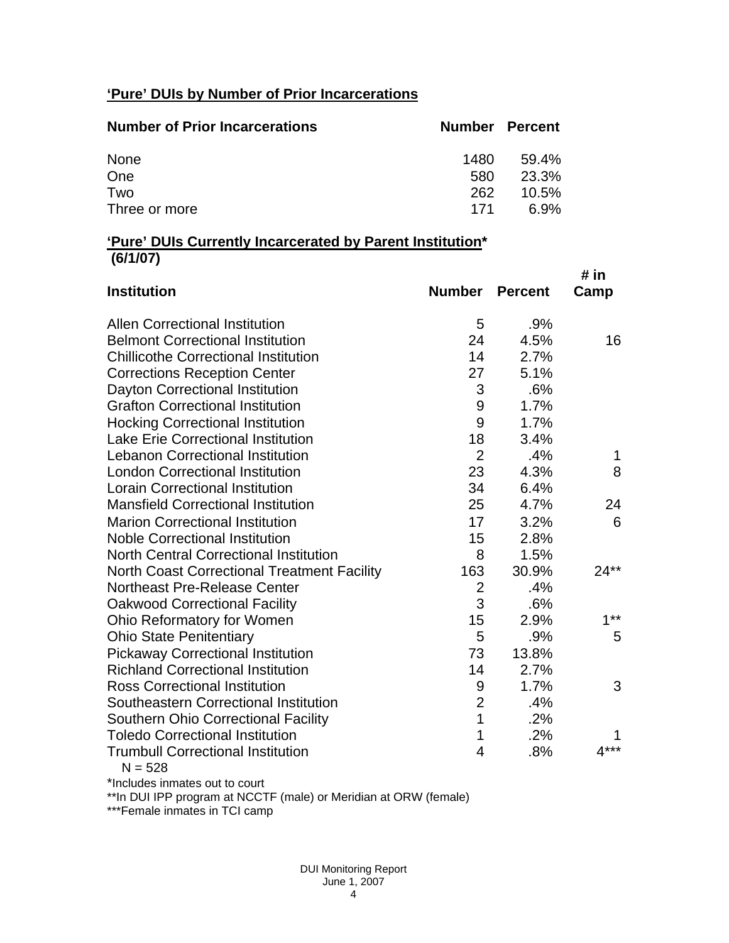# **'Pure' DUIs by Number of Prior Incarcerations**

| <b>Number of Prior Incarcerations</b> | <b>Number Percent</b> |          |
|---------------------------------------|-----------------------|----------|
| None                                  | 1480.                 | 59.4%    |
| One                                   | 580                   | 23.3%    |
| Two                                   | 262                   | $10.5\%$ |
| Three or more                         | 171                   | 6.9%     |

## **'Pure' DUIs Currently Incarcerated by Parent Institution\* (6/1/07)**

|                |                                                                    | # in   |
|----------------|--------------------------------------------------------------------|--------|
| <b>Number</b>  | <b>Percent</b>                                                     | Camp   |
| 5              | .9%                                                                |        |
| 24             | 4.5%                                                               | 16     |
| 14             | 2.7%                                                               |        |
| 27             | 5.1%                                                               |        |
| 3              | .6%                                                                |        |
| 9              | 1.7%                                                               |        |
| 9              | 1.7%                                                               |        |
|                | 3.4%                                                               |        |
|                | .4%                                                                | 1      |
| 23             | 4.3%                                                               | 8      |
| 34             | 6.4%                                                               |        |
| 25             | 4.7%                                                               | 24     |
| 17             | 3.2%                                                               | 6      |
| 15             | 2.8%                                                               |        |
| 8              | 1.5%                                                               |        |
| 163            | 30.9%                                                              | $24**$ |
| $\overline{2}$ | .4%                                                                |        |
|                | .6%                                                                |        |
| 15             | 2.9%                                                               | $1**$  |
|                | .9%                                                                | 5      |
| 73             |                                                                    |        |
| 14             | 2.7%                                                               |        |
| 9              | 1.7%                                                               | 3      |
|                | .4%                                                                |        |
|                | .2%                                                                |        |
| 1              | .2%                                                                | 1      |
| 4              | .8%                                                                | $4***$ |
|                | 18<br>$\overline{2}$<br>3<br>5<br>$\overline{2}$<br>$\overline{1}$ | 13.8%  |

 $N = 528$ 

\*Includes inmates out to court

\*\*In DUI IPP program at NCCTF (male) or Meridian at ORW (female)

\*\*\*Female inmates in TCI camp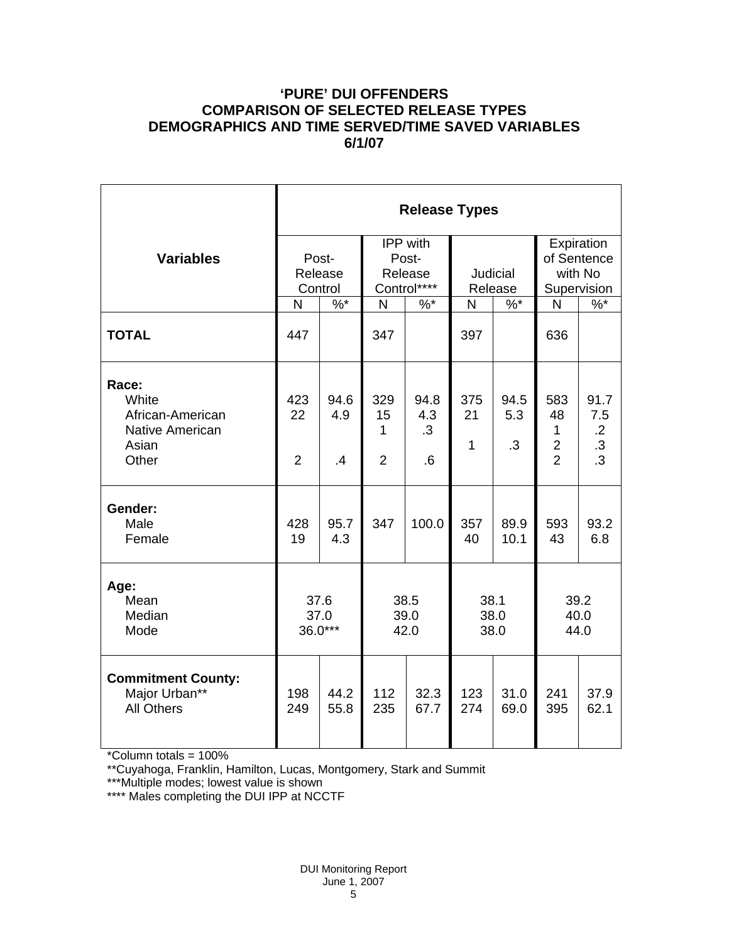# **'PURE' DUI OFFENDERS COMPARISON OF SELECTED RELEASE TYPES DEMOGRAPHICS AND TIME SERVED/TIME SAVED VARIABLES 6/1/07**

|                                                                         | <b>Release Types</b>        |                   |                                             |                                |                           |                          |                                                             |                                                        |  |  |
|-------------------------------------------------------------------------|-----------------------------|-------------------|---------------------------------------------|--------------------------------|---------------------------|--------------------------|-------------------------------------------------------------|--------------------------------------------------------|--|--|
| <b>Variables</b>                                                        | Post-<br>Release<br>Control |                   | IPP with<br>Post-<br>Release<br>Control**** |                                | Judicial<br>Release       |                          | Expiration<br>of Sentence<br>with No<br>Supervision         |                                                        |  |  |
|                                                                         | N                           | $\%$ *            | $\mathsf{N}$                                | $%^*$                          | N                         | $\%$ *                   | N                                                           | $\%$                                                   |  |  |
| <b>TOTAL</b>                                                            | 447                         |                   | 347                                         |                                | 397                       |                          | 636                                                         |                                                        |  |  |
| Race:<br>White<br>African-American<br>Native American<br>Asian<br>Other | 423<br>22<br>$\overline{2}$ | 94.6<br>4.9<br>.4 | 329<br>15<br>1<br>$\overline{2}$            | 94.8<br>4.3<br>$\cdot$ 3<br>.6 | 375<br>21<br>$\mathbf{1}$ | 94.5<br>5.3<br>$\cdot$ 3 | 583<br>48<br>1<br>$\overline{\mathbf{c}}$<br>$\overline{2}$ | 91.7<br>7.5<br>$.2\phantom{0}$<br>$\cdot$<br>$\cdot$ 3 |  |  |
| Gender:<br>Male<br>Female                                               | 428<br>19                   | 95.7<br>4.3       | 347                                         | 100.0                          | 357<br>40                 | 89.9<br>10.1             | 593<br>43                                                   | 93.2<br>6.8                                            |  |  |
| Age:<br>Mean<br>Median<br>Mode                                          | 37.6<br>37.0<br>$36.0***$   |                   | 38.5<br>39.0<br>42.0                        |                                | 38.1<br>38.0<br>38.0      |                          | 39.2<br>40.0<br>44.0                                        |                                                        |  |  |
| <b>Commitment County:</b><br>Major Urban**<br><b>All Others</b>         | 198<br>249                  | 44.2<br>55.8      | 112<br>235                                  | 32.3<br>67.7                   | 123<br>274                | 31.0<br>69.0             | 241<br>395                                                  | 37.9<br>62.1                                           |  |  |

\*Column totals = 100%

\*\*Cuyahoga, Franklin, Hamilton, Lucas, Montgomery, Stark and Summit

\*\*\*Multiple modes; lowest value is shown

\*\*\*\* Males completing the DUI IPP at NCCTF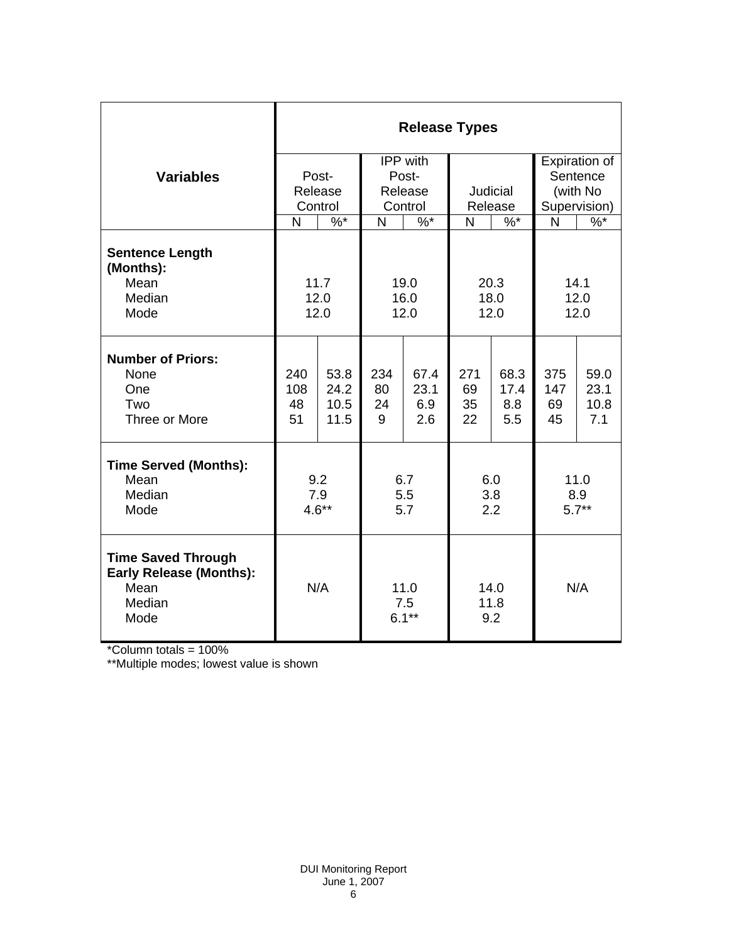|                                                                                       | <b>Release Types</b>   |                              |                              |                            |                       |                            |                                       |                             |  |  |
|---------------------------------------------------------------------------------------|------------------------|------------------------------|------------------------------|----------------------------|-----------------------|----------------------------|---------------------------------------|-----------------------------|--|--|
| <b>Variables</b>                                                                      | Post-<br>Release       |                              | IPP with<br>Post-<br>Release |                            | <b>Judicial</b>       |                            | Expiration of<br>Sentence<br>(with No |                             |  |  |
|                                                                                       |                        | Control                      | Control                      |                            | Release               |                            | Supervision)                          |                             |  |  |
|                                                                                       | N                      | $\sqrt[6]{6}$                | N                            | $\%$ *                     | N                     | $\%$ *                     | N                                     | $\%$ *                      |  |  |
| <b>Sentence Length</b><br>(Months):<br>Mean                                           | 11.7                   |                              | 19.0                         |                            | 20.3                  |                            | 14.1                                  |                             |  |  |
| Median<br>Mode                                                                        | 12.0<br>12.0           |                              | 16.0<br>12.0                 |                            | 18.0<br>12.0          |                            | 12.0<br>12.0                          |                             |  |  |
| <b>Number of Priors:</b><br>None<br>One<br>Two<br>Three or More                       | 240<br>108<br>48<br>51 | 53.8<br>24.2<br>10.5<br>11.5 | 234<br>80<br>24<br>9         | 67.4<br>23.1<br>6.9<br>2.6 | 271<br>69<br>35<br>22 | 68.3<br>17.4<br>8.8<br>5.5 | 375<br>147<br>69<br>45                | 59.0<br>23.1<br>10.8<br>7.1 |  |  |
| <b>Time Served (Months):</b><br>Mean<br>Median<br>Mode                                | 9.2<br>7.9<br>$4.6**$  |                              | 6.7<br>5.5<br>5.7            |                            | 6.0<br>3.8<br>2.2     |                            | 11.0<br>8.9<br>$5.7**$                |                             |  |  |
| <b>Time Saved Through</b><br><b>Early Release (Months):</b><br>Mean<br>Median<br>Mode | N/A                    |                              | 11.0<br>7.5<br>$6.1***$      |                            | 14.0<br>11.8<br>9.2   |                            | N/A                                   |                             |  |  |

\*Column totals = 100%

\*\*Multiple modes; lowest value is shown